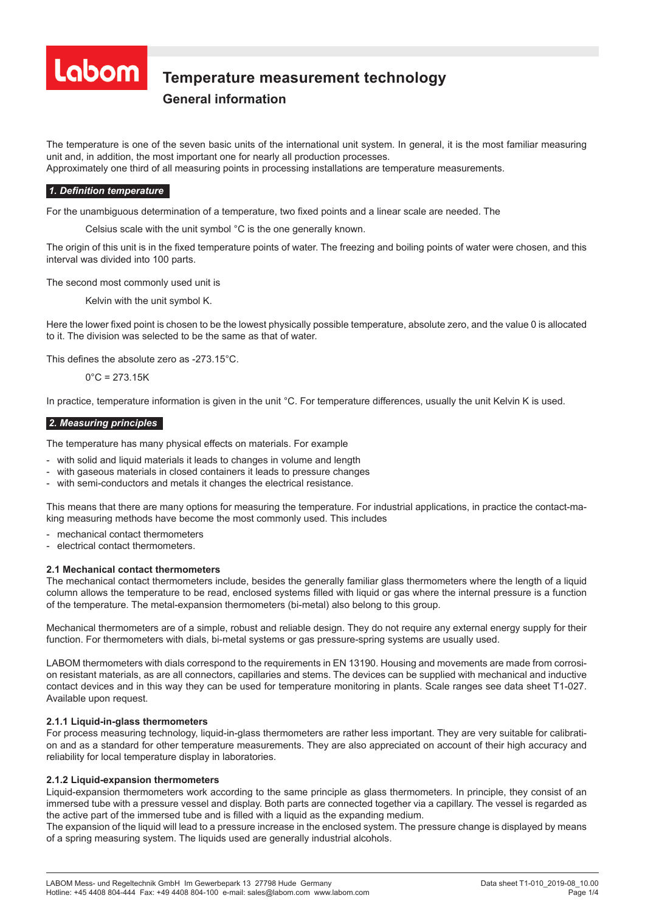

# **Temperature measurement technology Temperature measurement technology**

# **General information General information**

The temperature is one of the seven basic units of the international unit system. In general, it is the most familiar measuring unit and, in addition, the most important one for nearly all production processes. Approximately one third of all measuring points in processing installations are temperature measurements.

# *1. Definition temperature*

For the unambiguous determination of a temperature, two fixed points and a linear scale are needed. The

Celsius scale with the unit symbol °C is the one generally known.

The origin of this unit is in the fixed temperature points of water. The freezing and boiling points of water were chosen, and this interval was divided into 100 parts.

The second most commonly used unit is

Kelvin with the unit symbol K.

Here the lower fixed point is chosen to be the lowest physically possible temperature, absolute zero, and the value 0 is allocated to it. The division was selected to be the same as that of water.

This defines the absolute zero as -273.15°C.

 $0^{\circ}$ C = 273.15K

In practice, temperature information is given in the unit °C. For temperature differences, usually the unit Kelvin K is used.

#### *2. Measuring principles*

The temperature has many physical effects on materials. For example

- with solid and liquid materials it leads to changes in volume and length
- with gaseous materials in closed containers it leads to pressure changes
- with semi-conductors and metals it changes the electrical resistance.

This means that there are many options for measuring the temperature. For industrial applications, in practice the contact-making measuring methods have become the most commonly used. This includes

- mechanical contact thermometers
- electrical contact thermometers.

# **2.1 Mechanical contact thermometers**

The mechanical contact thermometers include, besides the generally familiar glass thermometers where the length of a liquid column allows the temperature to be read, enclosed systems filled with liquid or gas where the internal pressure is a function of the temperature. The metal-expansion thermometers (bi-metal) also belong to this group.

Mechanical thermometers are of a simple, robust and reliable design. They do not require any external energy supply for their function. For thermometers with dials, bi-metal systems or gas pressure-spring systems are usually used.

LABOM thermometers with dials correspond to the requirements in EN 13190. Housing and movements are made from corrosion resistant materials, as are all connectors, capillaries and stems. The devices can be supplied with mechanical and inductive contact devices and in this way they can be used for temperature monitoring in plants. Scale ranges see data sheet T1-027. Available upon request.

# **2.1.1 Liquid-in-glass thermometers**

For process measuring technology, liquid-in-glass thermometers are rather less important. They are very suitable for calibration and as a standard for other temperature measurements. They are also appreciated on account of their high accuracy and reliability for local temperature display in laboratories.

#### **2.1.2 Liquid-expansion thermometers**

Liquid-expansion thermometers work according to the same principle as glass thermometers. In principle, they consist of an immersed tube with a pressure vessel and display. Both parts are connected together via a capillary. The vessel is regarded as the active part of the immersed tube and is filled with a liquid as the expanding medium.

The expansion of the liquid will lead to a pressure increase in the enclosed system. The pressure change is displayed by means of a spring measuring system. The liquids used are generally industrial alcohols.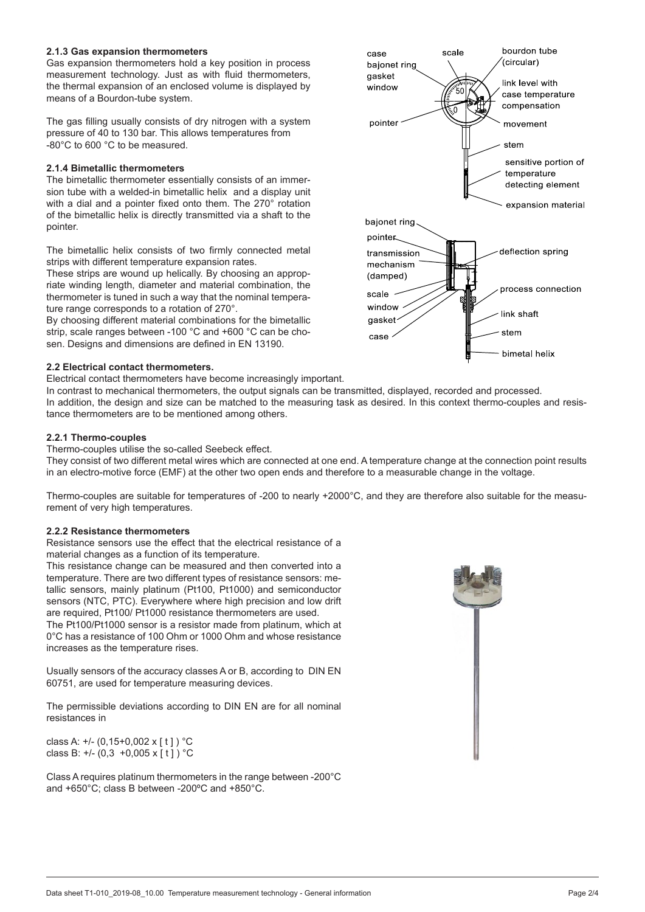#### **2.1.3 Gas expansion thermometers**

Gas expansion thermometers hold a key position in process measurement technology. Just as with fluid thermometers, the thermal expansion of an enclosed volume is displayed by means of a Bourdon-tube system.

The gas filling usually consists of dry nitrogen with a system pressure of 40 to 130 bar. This allows temperatures from -80°C to 600 °C to be measured.

#### **2.1.4 Bimetallic thermometers**

The bimetallic thermometer essentially consists of an immersion tube with a welded-in bimetallic helix and a display unit with a dial and a pointer fixed onto them. The 270° rotation of the bimetallic helix is directly transmitted via a shaft to the pointer.

The bimetallic helix consists of two firmly connected metal strips with different temperature expansion rates.

These strips are wound up helically. By choosing an appropriate winding length, diameter and material combination, the thermometer is tuned in such a way that the nominal temperature range corresponds to a rotation of 270°.

By choosing different material combinations for the bimetallic strip, scale ranges between -100 °C and +600 °C can be chosen. Designs and dimensions are defined in EN 13190.

#### **2.2 Electrical contact thermometers.**

Electrical contact thermometers have become increasingly important.

In contrast to mechanical thermometers, the output signals can be transmitted, displayed, recorded and processed. In addition, the design and size can be matched to the measuring task as desired. In this context thermo-couples and resistance thermometers are to be mentioned among others.

#### **2.2.1 Thermo-couples**

Thermo-couples utilise the so-called Seebeck effect.

They consist of two different metal wires which are connected at one end. A temperature change at the connection point results in an electro-motive force (EMF) at the other two open ends and therefore to a measurable change in the voltage.

Thermo-couples are suitable for temperatures of -200 to nearly +2000°C, and they are therefore also suitable for the measurement of very high temperatures.

#### **2.2.2 Resistance thermometers**

Resistance sensors use the effect that the electrical resistance of a material changes as a function of its temperature.

This resistance change can be measured and then converted into a temperature. There are two different types of resistance sensors: metallic sensors, mainly platinum (Pt100, Pt1000) and semiconductor sensors (NTC, PTC). Everywhere where high precision and low drift are required, Pt100/ Pt1000 resistance thermometers are used. The Pt100/Pt1000 sensor is a resistor made from platinum, which at

0°C has a resistance of 100 Ohm or 1000 Ohm and whose resistance increases as the temperature rises.

Usually sensors of the accuracy classes A or B, according to DIN EN 60751, are used for temperature measuring devices.

The permissible deviations according to DIN EN are for all nominal resistances in

class A: +/- (0,15+0,002 x [ t ] ) °C class B:  $+/- (0.3 +0.005 \times [t])$  °C

Class A requires platinum thermometers in the range between -200°C and +650°C; class B between -200ºC and +850°C.



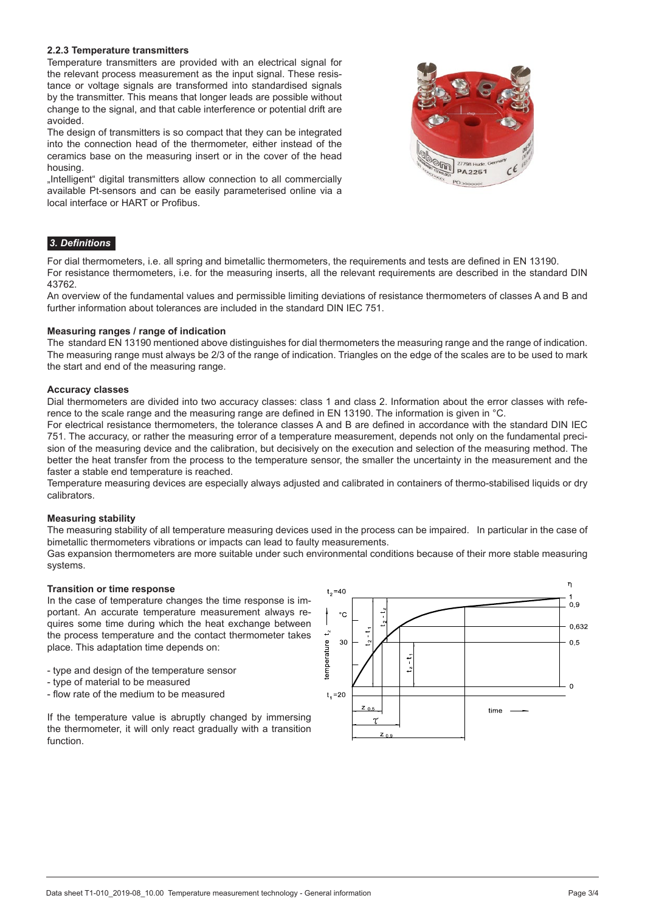#### **2.2.3 Temperature transmitters**

Temperature transmitters are provided with an electrical signal for the relevant process measurement as the input signal. These resistance or voltage signals are transformed into standardised signals by the transmitter. This means that longer leads are possible without change to the signal, and that cable interference or potential drift are avoided.

The design of transmitters is so compact that they can be integrated into the connection head of the thermometer, either instead of the ceramics base on the measuring insert or in the cover of the head housing.

"Intelligent" digital transmitters allow connection to all commercially available Pt-sensors and can be easily parameterised online via a local interface or HART or Profibus.



# *3. Definitions*

For dial thermometers, i.e. all spring and bimetallic thermometers, the requirements and tests are defined in EN 13190. For resistance thermometers, i.e. for the measuring inserts, all the relevant requirements are described in the standard DIN 43762.

An overview of the fundamental values and permissible limiting deviations of resistance thermometers of classes A and B and further information about tolerances are included in the standard DIN IEC 751.

#### **Measuring ranges / range of indication**

The standard EN 13190 mentioned above distinguishes for dial thermometers the measuring range and the range of indication. The measuring range must always be 2/3 of the range of indication. Triangles on the edge of the scales are to be used to mark the start and end of the measuring range.

#### **Accuracy classes**

Dial thermometers are divided into two accuracy classes: class 1 and class 2. Information about the error classes with reference to the scale range and the measuring range are defined in EN 13190. The information is given in °C.

For electrical resistance thermometers, the tolerance classes A and B are defined in accordance with the standard DIN IEC 751. The accuracy, or rather the measuring error of a temperature measurement, depends not only on the fundamental precision of the measuring device and the calibration, but decisively on the execution and selection of the measuring method. The better the heat transfer from the process to the temperature sensor, the smaller the uncertainty in the measurement and the faster a stable end temperature is reached.

Temperature measuring devices are especially always adjusted and calibrated in containers of thermo-stabilised liquids or dry calibrators.

#### **Measuring stability**

The measuring stability of all temperature measuring devices used in the process can be impaired. In particular in the case of bimetallic thermometers vibrations or impacts can lead to faulty measurements.

Gas expansion thermometers are more suitable under such environmental conditions because of their more stable measuring systems.

#### **Transition or time response**

In the case of temperature changes the time response is important. An accurate temperature measurement always requires some time during which the heat exchange between the process temperature and the contact thermometer takes place. This adaptation time depends on:

- type and design of the temperature sensor

- type of material to be measured
- flow rate of the medium to be measured

If the temperature value is abruptly changed by immersing the thermometer, it will only react gradually with a transition function.